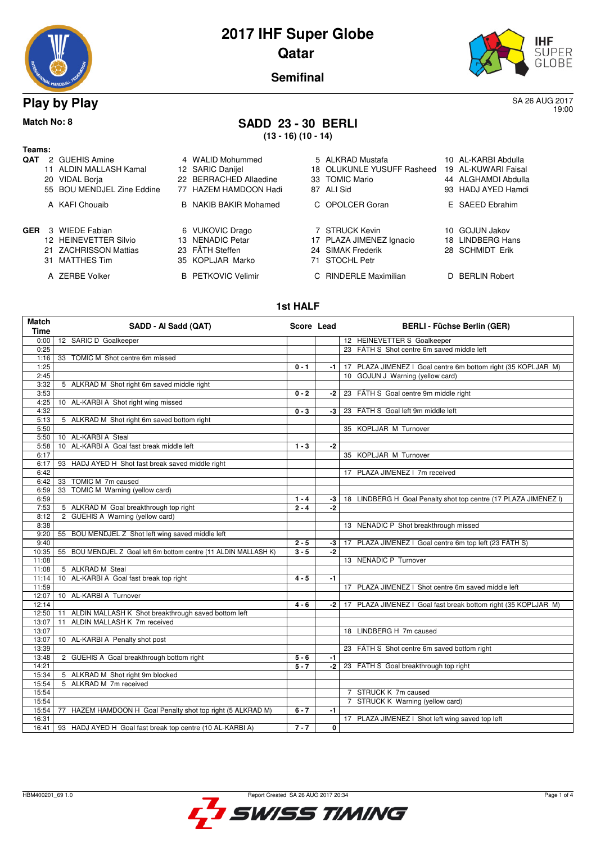| RA MANDBALL ROOF |  |
|------------------|--|

## **2017 IHF Super Globe Qatar**



**AL-KARBI Abdulla AL-KUWARI Faisal** ALGHAMDI Abdulla HADJ AYED Hamdi SAEED Ebrahim

LINDBERG Hans SCHMIDT Erik

**BERLIN Robert** 

**Semifinal**

**Play by Play** SA 26 AUG 2017 19:00

### **Match No: 8 SADD 23 - 30 BERLI**

**(13 - 16) (10 - 14)**

| Teams:     |                            |                              |                            |                 |
|------------|----------------------------|------------------------------|----------------------------|-----------------|
| QAT        | 2 GUEHIS Amine             | 4 WALID Mohummed             | 5 ALKRAD Mustafa           | 10 AL-KARBI Abo |
|            | 11 ALDIN MALLASH Kamal     | 12 SARIC Danijel             | 18 OLUKUNLE YUSUFF Rasheed | 19 AL-KUWARI F  |
|            | 20 VIDAL Borja             | 22 BERRACHED Allaedine       | 33 TOMIC Mario             | 44 ALGHAMDI AI  |
|            | 55 BOU MENDJEL Zine Eddine | 77 HAZEM HAMDOON Hadi        | 87 ALI Sid                 | 93 HADJ AYED H  |
|            | A KAFI Chouaib             | <b>B</b> NAKIB BAKIR Mohamed | C OPOLCER Goran            | E SAEED Ebrah   |
| <b>GER</b> | 3 WIEDE Fabian             | 6 VUKOVIC Drago              | 7 STRUCK Kevin             | 10 GOJUN Jakov  |
|            | 12 HEINEVETTER Silvio      | 13 NENADIC Petar             | 17 PLAZA JIMENEZ Ignacio   | 18 LINDBERG Ha  |
|            | 21 ZACHRISSON Mattias      | 23 FÄTH Steffen              | 24 SIMAK Frederik          | 28 SCHMIDT Eri  |
|            | 31 MATTHES Tim             | 35 KOPLJAR Marko             | 71 STOCHL Petr             |                 |
|            | A ZERBE Volker             | <b>B</b> PETKOVIC Velimir    | C RINDERLE Maximilian      | D BERLIN Robe   |

#### **1st HALF**

| <b>Match</b><br>Time | SADD - Al Sadd (QAT)                                             | Score Lead |              | <b>BERLI - Füchse Berlin (GER)</b>                              |
|----------------------|------------------------------------------------------------------|------------|--------------|-----------------------------------------------------------------|
| 0:00                 | 12 SARIC D Goalkeeper                                            |            |              | 12 HEINEVETTER S Goalkeeper                                     |
| 0:25                 |                                                                  |            |              | 23 FÄTH S Shot centre 6m saved middle left                      |
| 1:16                 | 33 TOMIC M Shot centre 6m missed                                 |            |              |                                                                 |
| 1:25                 |                                                                  | $0 - 1$    | -1           | 17 PLAZA JIMENEZ I Goal centre 6m bottom right (35 KOPLJAR M)   |
| 2:45                 |                                                                  |            |              | 10 GOJUN J Warning (yellow card)                                |
| 3:32                 | 5 ALKRAD M Shot right 6m saved middle right                      |            |              |                                                                 |
| 3:53                 |                                                                  | $0 - 2$    | -2           | 23 FÄTH S Goal centre 9m middle right                           |
| 4:25                 | 10 AL-KARBI A Shot right wing missed                             |            |              |                                                                 |
| 4:32                 |                                                                  | $0 - 3$    | -3           | 23 FÄTH S Goal left 9m middle left                              |
| 5:13                 | 5 ALKRAD M Shot right 6m saved bottom right                      |            |              |                                                                 |
| 5:50                 |                                                                  |            |              | 35 KOPLJAR M Turnover                                           |
| 5:50                 | 10 AL-KARBI A Steal                                              |            |              |                                                                 |
| 5:58                 | 10 AL-KARBI A Goal fast break middle left                        | $1 - 3$    | $-2$         |                                                                 |
| 6:17                 |                                                                  |            |              | 35 KOPLJAR M Turnover                                           |
| 6:17                 | 93 HADJ AYED H Shot fast break saved middle right                |            |              |                                                                 |
| 6:42                 |                                                                  |            |              | 17 PLAZA JIMENEZ   7m received                                  |
| 6:42                 | TOMIC M 7m caused<br>33                                          |            |              |                                                                 |
| 6:59                 | 33 TOMIC M Warning (yellow card)                                 |            |              |                                                                 |
| 6:59                 |                                                                  | $1 - 4$    | -3           | 18 LINDBERG H Goal Penalty shot top centre (17 PLAZA JIMENEZ I) |
| 7:53                 | 5 ALKRAD M Goal breakthrough top right                           | $2 - 4$    | $-2$         |                                                                 |
| 8:12                 | 2 GUEHIS A Warning (yellow card)                                 |            |              |                                                                 |
| 8:38                 |                                                                  |            |              | 13 NENADIC P Shot breakthrough missed                           |
| 9:20                 | 55 BOU MENDJEL Z Shot left wing saved middle left                |            |              |                                                                 |
| 9:40                 |                                                                  | $2 - 5$    | -3           | 17 PLAZA JIMENEZ I Goal centre 6m top left (23 FÄTH S)          |
| 10:35                | 55 BOU MENDJEL Z Goal left 6m bottom centre (11 ALDIN MALLASH K) | $3 - 5$    | $-2$         |                                                                 |
| 11:08                |                                                                  |            |              | 13 NENADIC P Turnover                                           |
| 11:08<br>11:14       | 5 ALKRAD M Steal<br>10 AL-KARBI A Goal fast break top right      | $4 - 5$    | $-1$         |                                                                 |
| 11:59                |                                                                  |            |              | 17 PLAZA JIMENEZ I Shot centre 6m saved middle left             |
| 12:07                | 10 AL-KARBI A Turnover                                           |            |              |                                                                 |
| 12:14                |                                                                  | $4 - 6$    | -2 l         | 17 PLAZA JIMENEZ I Goal fast break bottom right (35 KOPLJAR M)  |
| 12:50                | ALDIN MALLASH K Shot breakthrough saved bottom left<br>11        |            |              |                                                                 |
| 13:07                | ALDIN MALLASH K 7m received<br>11                                |            |              |                                                                 |
| 13:07                |                                                                  |            |              | 18 LINDBERG H 7m caused                                         |
| 13:07                | 10 AL-KARBI A Penalty shot post                                  |            |              |                                                                 |
| 13:39                |                                                                  |            |              | 23 FÄTH S Shot centre 6m saved bottom right                     |
| 13:48                | 2 GUEHIS A Goal breakthrough bottom right                        | $5 - 6$    | -1           |                                                                 |
| 14:21                |                                                                  | $5 - 7$    | -2           | 23 FÄTH S Goal breakthrough top right                           |
| 15:34                | 5 ALKRAD M Shot right 9m blocked                                 |            |              |                                                                 |
| 15:54                | 5 ALKRAD M 7m received                                           |            |              |                                                                 |
| 15:54                |                                                                  |            |              | 7 STRUCK K 7m caused                                            |
| 15:54                |                                                                  |            |              | 7 STRUCK K Warning (yellow card)                                |
| 15:54                | 77 HAZEM HAMDOON H Goal Penalty shot top right (5 ALKRAD M)      | $6 - 7$    | $-1$         |                                                                 |
| 16:31                |                                                                  |            |              | 17 PLAZA JIMENEZ I Shot left wing saved top left                |
| 16:41                | 93 HADJ AYED H Goal fast break top centre (10 AL-KARBI A)        | $7 - 7$    | $\mathbf{0}$ |                                                                 |

SWISS TIMING

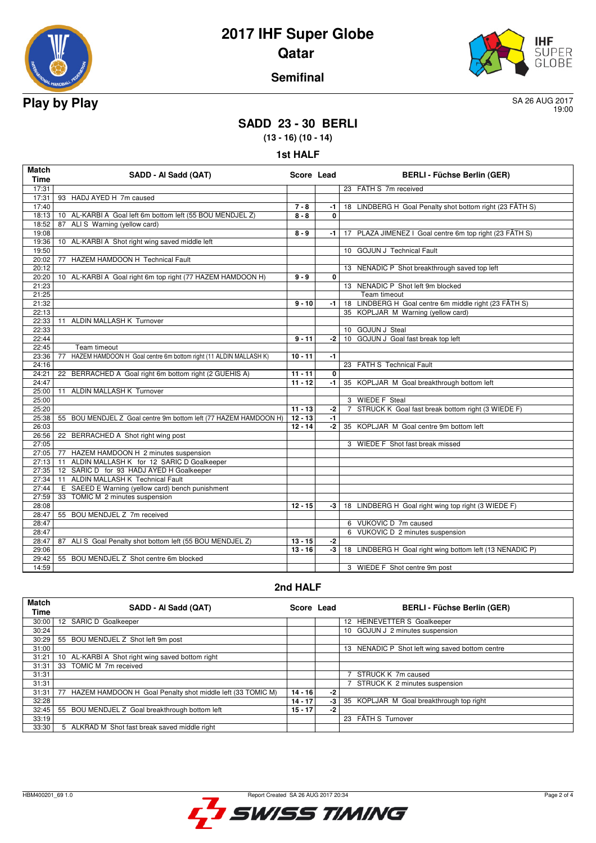

## **2017 IHF Super Globe Qatar**



#### **Semifinal**

19:00

### **SADD 23 - 30 BERLI**

**(13 - 16) (10 - 14)**

|  | 1st HALF |
|--|----------|
|--|----------|

| <b>Match</b><br><b>Time</b> | SADD - Al Sadd (QAT)                                                   | Score Lead |             | <b>BERLI - Füchse Berlin (GER)</b>                       |
|-----------------------------|------------------------------------------------------------------------|------------|-------------|----------------------------------------------------------|
| 17:31                       |                                                                        |            |             | 23 FÄTH S 7m received                                    |
| 17:31                       | 93 HADJ AYED H 7m caused                                               |            |             |                                                          |
| 17:40                       |                                                                        | $7 - 8$    | $-1$        | 18 LINDBERG H Goal Penalty shot bottom right (23 FÄTH S) |
| 18:13                       | 10 AL-KARBI A Goal left 6m bottom left (55 BOU MENDJEL Z)              | $8 - 8$    | $\mathbf 0$ |                                                          |
| 18:52                       | 87 ALIS Warning (yellow card)                                          |            |             |                                                          |
| 19:08                       |                                                                        | $8 - 9$    | -1          | 17 PLAZA JIMENEZ I Goal centre 6m top right (23 FÄTH S)  |
| 19:36                       | 10 AL-KARBI A Shot right wing saved middle left                        |            |             |                                                          |
| 19:50                       |                                                                        |            |             | 10 GOJUN J Technical Fault                               |
| 20:02                       | HAZEM HAMDOON H Technical Fault<br>77                                  |            |             |                                                          |
| 20:12                       |                                                                        |            |             | 13 NENADIC P Shot breakthrough saved top left            |
| 20:20                       | 10 AL-KARBI A Goal right 6m top right (77 HAZEM HAMDOON H)             | $9 - 9$    | 0           |                                                          |
| 21:23                       |                                                                        |            |             | 13 NENADIC P Shot left 9m blocked                        |
| 21:25                       |                                                                        |            |             | Team timeout                                             |
| 21:32                       |                                                                        | $9 - 10$   | $-1$        | 18 LINDBERG H Goal centre 6m middle right (23 FÄTH S)    |
| 22:13                       |                                                                        |            |             | 35 KOPLJAR M Warning (yellow card)                       |
| 22:33                       | 11 ALDIN MALLASH K Turnover                                            |            |             |                                                          |
| 22:33                       |                                                                        |            |             | 10 GOJUN J Steal                                         |
| 22:44                       |                                                                        | $9 - 11$   | $-2$        | 10 GOJUN J Goal fast break top left                      |
| 22:45                       | Team timeout                                                           |            |             |                                                          |
| 23:36                       | HAZEM HAMDOON H Goal centre 6m bottom right (11 ALDIN MALLASH K)<br>77 | $10 - 11$  | $-1$        |                                                          |
| 24:16                       |                                                                        |            |             | 23 FÄTH S Technical Fault                                |
| 24:21                       | 22 BERRACHED A Goal right 6m bottom right (2 GUEHIS A)                 | $11 - 11$  | $\mathbf 0$ |                                                          |
| 24:47                       |                                                                        | $11 - 12$  | $-1$        | 35 KOPLJAR M Goal breakthrough bottom left               |
| 25:00                       | 11 ALDIN MALLASH K Turnover                                            |            |             |                                                          |
| 25:00                       |                                                                        |            |             | 3 WIEDE F Steal                                          |
| 25:20                       |                                                                        | $11 - 13$  | $-2$        | 7 STRUCK K Goal fast break bottom right (3 WIEDE F)      |
| 25:38                       | 55 BOU MENDJEL Z Goal centre 9m bottom left (77 HAZEM HAMDOON H)       | $12 - 13$  | $-1$        |                                                          |
| 26:03                       |                                                                        | $12 - 14$  | $-2$        | 35 KOPLJAR M Goal centre 9m bottom left                  |
| 26:56                       | 22 BERRACHED A Shot right wing post                                    |            |             |                                                          |
| 27:05                       |                                                                        |            |             | 3 WIEDE F Shot fast break missed                         |
|                             | 27:05   77 HAZEM HAMDOON H 2 minutes suspension                        |            |             |                                                          |
| 27:13                       | 11 ALDIN MALLASH K for 12 SARIC D Goalkeeper                           |            |             |                                                          |
| 27:35                       | 12 SARIC D for 93 HADJ AYED H Goalkeeper                               |            |             |                                                          |
| 27:34                       | 11 ALDIN MALLASH K Technical Fault                                     |            |             |                                                          |
| 27:44                       | E SAEED E Warning (yellow card) bench punishment                       |            |             |                                                          |
| 27:59                       | TOMIC M 2 minutes suspension<br>33                                     |            |             |                                                          |
| 28:08                       |                                                                        | $12 - 15$  | $-3$        | 18 LINDBERG H Goal right wing top right (3 WIEDE F)      |
| 28:47                       | 55 BOU MENDJEL Z 7m received                                           |            |             |                                                          |
| 28:47                       |                                                                        |            |             | 6 VUKOVIC D 7m caused                                    |
| 28:47                       |                                                                        |            |             | 6 VUKOVIC D 2 minutes suspension                         |
| 28:47                       | 87 ALI S Goal Penalty shot bottom left (55 BOU MENDJEL Z)              | $13 - 15$  | $-2$        |                                                          |
| 29:06                       |                                                                        | $13 - 16$  | $-3$        | 18 LINDBERG H Goal right wing bottom left (13 NENADIC P) |
| 29:42                       | 55 BOU MENDJEL Z Shot centre 6m blocked                                |            |             |                                                          |
| 14:59                       |                                                                        |            |             | 3 WIEDE F Shot centre 9m post                            |

#### **2nd HALF**

| <b>Match</b><br>Time | SADD - Al Sadd (QAT)                                             | Score Lead |    | <b>BERLI - Füchse Berlin (GER)</b>              |
|----------------------|------------------------------------------------------------------|------------|----|-------------------------------------------------|
| 30:00                | 12 SARIC D Goalkeeper                                            |            |    | 12 HEINEVETTER S Goalkeeper                     |
| 30:24                |                                                                  |            |    | 10 GOJUN J 2 minutes suspension                 |
| 30:29                | BOU MENDJEL Z Shot left 9m post<br>55                            |            |    |                                                 |
| 31:00                |                                                                  |            |    | 13 NENADIC P Shot left wing saved bottom centre |
| 31:21                | AL-KARBI A Shot right wing saved bottom right<br>10 <sup>1</sup> |            |    |                                                 |
| 31:31                | TOMIC M 7m received<br>33                                        |            |    |                                                 |
| 31:31                |                                                                  |            |    | STRUCK K 7m caused                              |
| 31:31                |                                                                  |            |    | STRUCK K 2 minutes suspension                   |
| 31:31                | HAZEM HAMDOON H Goal Penalty shot middle left (33 TOMIC M)<br>77 | $14 - 16$  | -2 |                                                 |
| 32:28                |                                                                  | $14 - 17$  | -3 | 35 KOPLJAR M Goal breakthrough top right        |
| 32:45                | BOU MENDJEL Z Goal breakthrough bottom left<br>55                | $15 - 17$  | -2 |                                                 |
| 33:19                |                                                                  |            |    | 23 FÄTH S Turnover                              |
| 33:30                | 5 ALKRAD M Shot fast break saved middle right                    |            |    |                                                 |

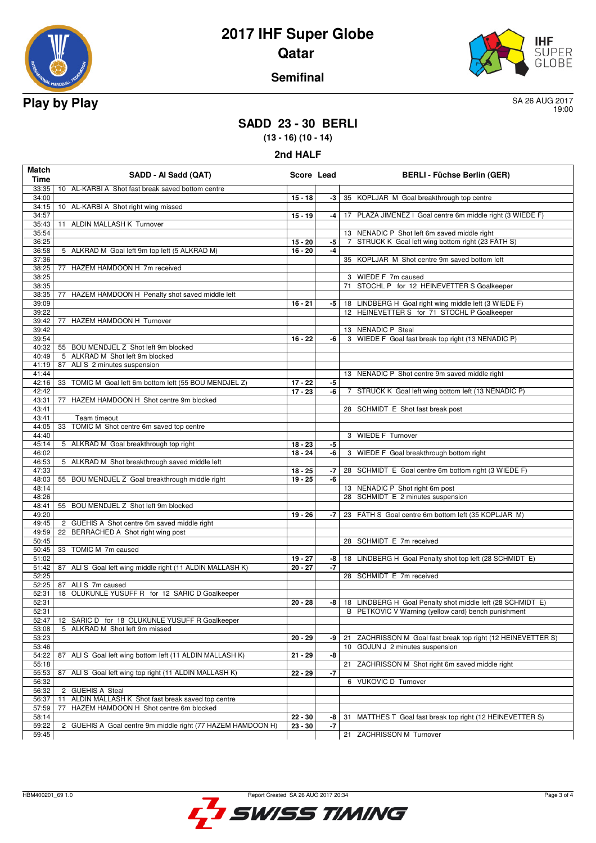

# **2017 IHF Super Globe Qatar**



#### **Semifinal**

19:00

### **SADD 23 - 30 BERLI**

**(13 - 16) (10 - 14)**

| Match<br>Time | SADD - Al Sadd (QAT)                                        | Score Lead |            | <b>BERLI - Füchse Berlin (GER)</b>                              |
|---------------|-------------------------------------------------------------|------------|------------|-----------------------------------------------------------------|
| 33:35         | 10 AL-KARBI A Shot fast break saved bottom centre           |            |            |                                                                 |
| 34:00         |                                                             | $15 - 18$  | -3         | 35 KOPLJAR M Goal breakthrough top centre                       |
| 34:15         | 10 AL-KARBI A Shot right wing missed                        |            |            |                                                                 |
| 34:57         |                                                             | $15 - 19$  | $-4$       | 17 PLAZA JIMENEZ I Goal centre 6m middle right (3 WIEDE F)      |
| 35:43         | 11 ALDIN MALLASH K Turnover                                 |            |            |                                                                 |
| 35:54         |                                                             |            |            | 13 NENADIC P Shot left 6m saved middle right                    |
| 36:25         |                                                             | $15 - 20$  | -5         | STRUCK K Goal left wing bottom right (23 FÄTH S)<br>7           |
| 36:58         | 5 ALKRAD M Goal left 9m top left (5 ALKRAD M)               | $16 - 20$  | $-4$       |                                                                 |
| 37:36         |                                                             |            |            | 35 KOPLJAR M Shot centre 9m saved bottom left                   |
| 38:25         | 77 HAZEM HAMDOON H 7m received                              |            |            |                                                                 |
| 38:25         |                                                             |            |            | 3 WIEDE F 7m caused                                             |
| 38:35         |                                                             |            |            | STOCHL P for 12 HEINEVETTER S Goalkeeper<br>71                  |
| 38:35         | 77 HAZEM HAMDOON H Penalty shot saved middle left           |            |            |                                                                 |
| 39:09         |                                                             | $16 - 21$  | -5         | 18 LINDBERG H Goal right wing middle left (3 WIEDE F)           |
| 39:22         |                                                             |            |            | 12 HEINEVETTER S for 71 STOCHL P Goalkeeper                     |
| 39:42         | HAZEM HAMDOON H Turnover<br>77                              |            |            |                                                                 |
| 39:42         |                                                             |            |            | 13 NENADIC P Steal                                              |
| 39:54         |                                                             | $16 - 22$  | -6         | 3 WIEDE F Goal fast break top right (13 NENADIC P)              |
| 40:32         | 55 BOU MENDJEL Z Shot left 9m blocked                       |            |            |                                                                 |
| 40:49         | 5 ALKRAD M Shot left 9m blocked                             |            |            |                                                                 |
| 41:19         | 87 ALIS 2 minutes suspension                                |            |            |                                                                 |
| 41:44         |                                                             |            |            | 13 NENADIC P Shot centre 9m saved middle right                  |
| 42:16         | 33 TOMIC M Goal left 6m bottom left (55 BOU MENDJEL Z)      | $17 - 22$  | -5         |                                                                 |
| 42:42         |                                                             | $17 - 23$  | -6         | 7 STRUCK K Goal left wing bottom left (13 NENADIC P)            |
| 43:31         | HAZEM HAMDOON H Shot centre 9m blocked<br>77                |            |            |                                                                 |
| 43:41         |                                                             |            |            | 28 SCHMIDT E Shot fast break post                               |
| 43:41         | Team timeout                                                |            |            |                                                                 |
| 44:05         | TOMIC M Shot centre 6m saved top centre<br>33               |            |            |                                                                 |
| 44:40         |                                                             |            |            | 3 WIEDE F Turnover                                              |
| 45:14         | 5 ALKRAD M Goal breakthrough top right                      | $18 - 23$  | -5         |                                                                 |
| 46:02         |                                                             | $18 - 24$  | -6         | 3 WIEDE F Goal breakthrough bottom right                        |
| 46:53         | 5 ALKRAD M Shot breakthrough saved middle left              |            |            |                                                                 |
| 47:33         |                                                             | $18 - 25$  | -7         | 28 SCHMIDT E Goal centre 6m bottom right (3 WIEDE F)            |
| 48:03         | 55 BOU MENDJEL Z Goal breakthrough middle right             | $19 - 25$  | -6         |                                                                 |
| 48:14         |                                                             |            |            | 13 NENADIC P Shot right 6m post                                 |
| 48:26         |                                                             |            |            | 28 SCHMIDT E 2 minutes suspension                               |
| 48:41         | 55 BOU MENDJEL Z Shot left 9m blocked                       |            |            |                                                                 |
| 49:20         |                                                             | $19 - 26$  | -7         | 23 FÄTH S Goal centre 6m bottom left (35 KOPLJAR M)             |
| 49:45         | 2 GUEHIS A Shot centre 6m saved middle right                |            |            |                                                                 |
| 49:59         | BERRACHED A Shot right wing post                            |            |            |                                                                 |
|               | 22                                                          |            |            |                                                                 |
| 50:45         |                                                             |            |            | 28 SCHMIDT E 7m received                                        |
| 50:45         | 33 TOMIC M 7m caused                                        |            |            |                                                                 |
| 51:02         |                                                             | $19 - 27$  | -8<br>$-7$ | LINDBERG H Goal Penalty shot top left (28 SCHMIDT E)<br>18      |
| 51:42         | 87 ALI S Goal left wing middle right (11 ALDIN MALLASH K)   | $20 - 27$  |            |                                                                 |
| 52:25         |                                                             |            |            | 28 SCHMIDT E 7m received                                        |
| 52:25         | 87 ALIS 7m caused                                           |            |            |                                                                 |
| 52:31         | 18 OLUKUNLE YUSUFF R for 12 SARIC D Goalkeeper              |            |            |                                                                 |
| 52:31         |                                                             | $20 - 28$  | -8         | 18 LINDBERG H Goal Penalty shot middle left (28 SCHMIDT E)      |
| 52:31         |                                                             |            |            | B PETKOVIC V Warning (yellow card) bench punishment             |
| 52:47         | 12 SARIC D for 18 OLUKUNLE YUSUFF R Goalkeeper              |            |            |                                                                 |
| 53:08         | 5 ALKRAD M Shot left 9m missed                              |            |            |                                                                 |
| 53:23         |                                                             | $20 - 29$  | -9         | ZACHRISSON M Goal fast break top right (12 HEINEVETTER S)<br>21 |
| 53:46         |                                                             |            |            | GOJUN J 2 minutes suspension<br>10                              |
| 54:22         | 87 ALI S Goal left wing bottom left (11 ALDIN MALLASH K)    | $21 - 29$  | -8         |                                                                 |
| 55:18         |                                                             |            |            | ZACHRISSON M Shot right 6m saved middle right<br>21             |
| 55:53         | ALI S Goal left wing top right (11 ALDIN MALLASH K)<br>87   | 22 - 29    | -7         |                                                                 |
| 56:32         |                                                             |            |            | 6 VUKOVIC D Turnover                                            |
| 56:32         | 2 GUEHIS A Steal                                            |            |            |                                                                 |
| 56:37         | ALDIN MALLASH K Shot fast break saved top centre<br>11      |            |            |                                                                 |
| 57:59         | 77<br>HAZEM HAMDOON H Shot centre 6m blocked                |            |            |                                                                 |
| 58:14         |                                                             | $22 - 30$  | -8         | MATTHES T Goal fast break top right (12 HEINEVETTER S)<br>31    |
| 59:22         | 2 GUEHIS A Goal centre 9m middle right (77 HAZEM HAMDOON H) | 23 - 30    | -7         |                                                                 |
| 59:45         |                                                             |            |            | 21 ZACHRISSON M Turnover                                        |